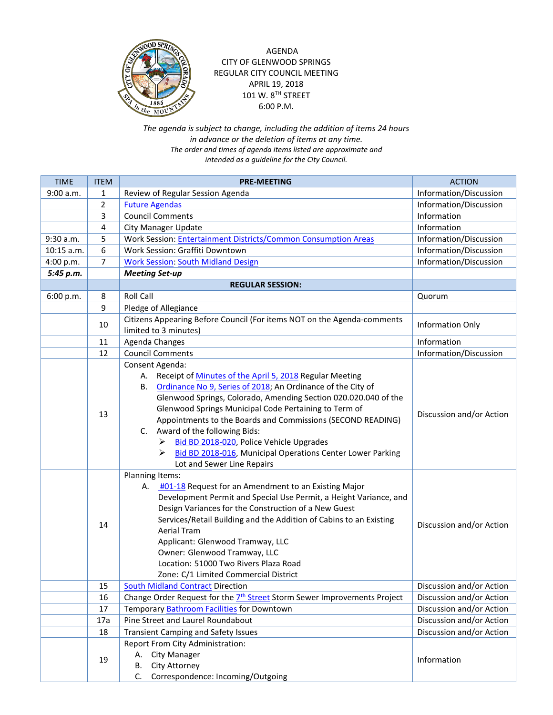

## AGENDA CITY OF GLENWOOD SPRINGS REGULAR CITY COUNCIL MEETING APRIL 19, 2018 101 W. 8TH STREET 6:00 P.M.

*The agenda is subject to change, including the addition of items 24 hours in advance or the deletion of items at any time. The order and times of agenda items listed are approximate and intended as a guideline for the City Council.*

| <b>TIME</b> | <b>ITEM</b>    | <b>PRE-MEETING</b>                                                                                                                                                                                                                                                                                                                                                                                                                                                                                                                                          | <b>ACTION</b>            |
|-------------|----------------|-------------------------------------------------------------------------------------------------------------------------------------------------------------------------------------------------------------------------------------------------------------------------------------------------------------------------------------------------------------------------------------------------------------------------------------------------------------------------------------------------------------------------------------------------------------|--------------------------|
| 9:00 a.m.   | 1              | Review of Regular Session Agenda                                                                                                                                                                                                                                                                                                                                                                                                                                                                                                                            | Information/Discussion   |
|             | $\overline{2}$ | <b>Future Agendas</b>                                                                                                                                                                                                                                                                                                                                                                                                                                                                                                                                       | Information/Discussion   |
|             | 3              | <b>Council Comments</b>                                                                                                                                                                                                                                                                                                                                                                                                                                                                                                                                     | Information              |
|             | 4              | <b>City Manager Update</b>                                                                                                                                                                                                                                                                                                                                                                                                                                                                                                                                  | Information              |
| 9:30 a.m.   | 5              | Work Session: Entertainment Districts/Common Consumption Areas                                                                                                                                                                                                                                                                                                                                                                                                                                                                                              | Information/Discussion   |
| 10:15 a.m.  | 6              | Work Session: Graffiti Downtown                                                                                                                                                                                                                                                                                                                                                                                                                                                                                                                             | Information/Discussion   |
| 4:00 p.m.   | 7              | <b>Work Session: South Midland Design</b>                                                                                                                                                                                                                                                                                                                                                                                                                                                                                                                   | Information/Discussion   |
| 5:45 p.m.   |                | <b>Meeting Set-up</b>                                                                                                                                                                                                                                                                                                                                                                                                                                                                                                                                       |                          |
|             |                | <b>REGULAR SESSION:</b>                                                                                                                                                                                                                                                                                                                                                                                                                                                                                                                                     |                          |
| 6:00 p.m.   | 8              | <b>Roll Call</b>                                                                                                                                                                                                                                                                                                                                                                                                                                                                                                                                            | Quorum                   |
|             | 9              | Pledge of Allegiance                                                                                                                                                                                                                                                                                                                                                                                                                                                                                                                                        |                          |
|             |                | Citizens Appearing Before Council (For items NOT on the Agenda-comments                                                                                                                                                                                                                                                                                                                                                                                                                                                                                     |                          |
|             | 10             | limited to 3 minutes)                                                                                                                                                                                                                                                                                                                                                                                                                                                                                                                                       | Information Only         |
|             | 11             | Agenda Changes                                                                                                                                                                                                                                                                                                                                                                                                                                                                                                                                              | Information              |
|             | 12             | <b>Council Comments</b>                                                                                                                                                                                                                                                                                                                                                                                                                                                                                                                                     | Information/Discussion   |
|             | 13             | Consent Agenda:<br>Receipt of Minutes of the April 5, 2018 Regular Meeting<br>А.<br>Ordinance No 9, Series of 2018; An Ordinance of the City of<br>В.<br>Glenwood Springs, Colorado, Amending Section 020.020.040 of the<br>Glenwood Springs Municipal Code Pertaining to Term of<br>Appointments to the Boards and Commissions (SECOND READING)<br>Award of the following Bids:<br>C.<br>Bid BD 2018-020, Police Vehicle Upgrades<br>⋗<br>Bid BD 2018-016, Municipal Operations Center Lower Parking<br>⋗<br>Lot and Sewer Line Repairs<br>Planning Items: | Discussion and/or Action |
|             | 14             | <b>#01-18</b> Request for an Amendment to an Existing Major<br>А.<br>Development Permit and Special Use Permit, a Height Variance, and<br>Design Variances for the Construction of a New Guest<br>Services/Retail Building and the Addition of Cabins to an Existing<br><b>Aerial Tram</b><br>Applicant: Glenwood Tramway, LLC<br>Owner: Glenwood Tramway, LLC<br>Location: 51000 Two Rivers Plaza Road<br>Zone: C/1 Limited Commercial District                                                                                                            | Discussion and/or Action |
|             | 15             | <b>South Midland Contract Direction</b>                                                                                                                                                                                                                                                                                                                                                                                                                                                                                                                     | Discussion and/or Action |
|             | 16             | Change Order Request for the 7 <sup>th</sup> Street Storm Sewer Improvements Project                                                                                                                                                                                                                                                                                                                                                                                                                                                                        | Discussion and/or Action |
|             | 17             | Temporary <b>Bathroom Facilities</b> for Downtown                                                                                                                                                                                                                                                                                                                                                                                                                                                                                                           | Discussion and/or Action |
|             | 17a            | Pine Street and Laurel Roundabout                                                                                                                                                                                                                                                                                                                                                                                                                                                                                                                           | Discussion and/or Action |
|             | 18             | <b>Transient Camping and Safety Issues</b>                                                                                                                                                                                                                                                                                                                                                                                                                                                                                                                  | Discussion and/or Action |
|             |                | Report From City Administration:                                                                                                                                                                                                                                                                                                                                                                                                                                                                                                                            |                          |
|             | 19             | A. City Manager                                                                                                                                                                                                                                                                                                                                                                                                                                                                                                                                             | Information              |
|             |                | City Attorney<br>В.                                                                                                                                                                                                                                                                                                                                                                                                                                                                                                                                         |                          |
|             |                | C. Correspondence: Incoming/Outgoing                                                                                                                                                                                                                                                                                                                                                                                                                                                                                                                        |                          |